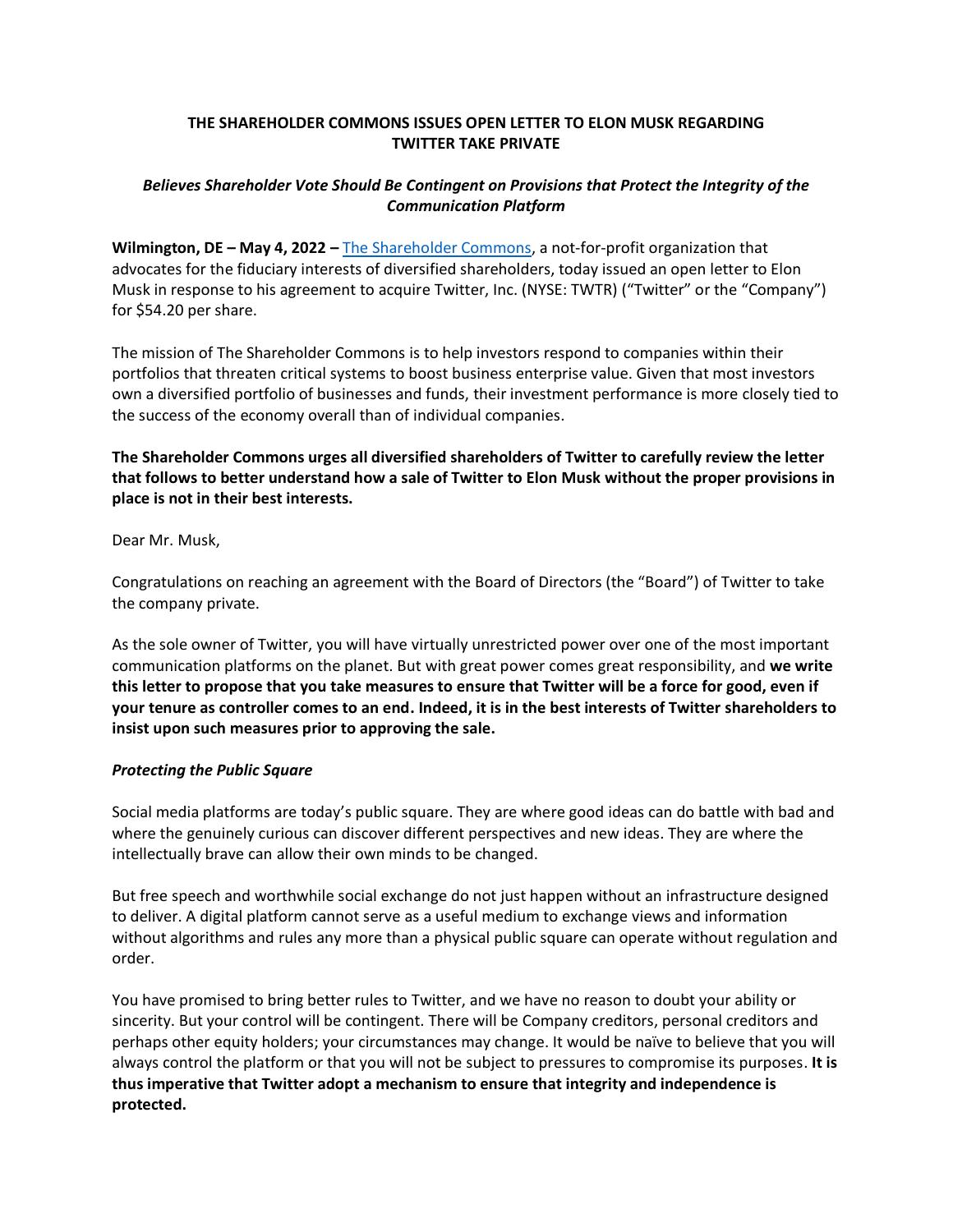# **THE SHAREHOLDER COMMONS ISSUES OPEN LETTER TO ELON MUSK REGARDING TWITTER TAKE PRIVATE**

# *Believes Shareholder Vote Should Be Contingent on Provisions that Protect the Integrity of the Communication Platform*

**Wilmington, DE – May 4, 2022 –** [The Shareholder Commons,](https://theshareholdercommons.com/) a not-for-profit organization that advocates for the fiduciary interests of diversified shareholders, today issued an open letter to Elon Musk in response to his agreement to acquire Twitter, Inc. (NYSE: TWTR) ("Twitter" or the "Company") for \$54.20 per share.

The mission of The Shareholder Commons is to help investors respond to companies within their portfolios that threaten critical systems to boost business enterprise value. Given that most investors own a diversified portfolio of businesses and funds, their investment performance is more closely tied to the success of the economy overall than of individual companies.

**The Shareholder Commons urges all diversified shareholders of Twitter to carefully review the letter that follows to better understand how a sale of Twitter to Elon Musk without the proper provisions in place is not in their best interests.**

Dear Mr. Musk,

Congratulations on reaching an agreement with the Board of Directors (the "Board") of Twitter to take the company private.

As the sole owner of Twitter, you will have virtually unrestricted power over one of the most important communication platforms on the planet. But with great power comes great responsibility, and **we write this letter to propose that you take measures to ensure that Twitter will be a force for good, even if your tenure as controller comes to an end. Indeed, it is in the best interests of Twitter shareholders to insist upon such measures prior to approving the sale.**

## *Protecting the Public Square*

Social media platforms are today's public square. They are where good ideas can do battle with bad and where the genuinely curious can discover different perspectives and new ideas. They are where the intellectually brave can allow their own minds to be changed.

But free speech and worthwhile social exchange do not just happen without an infrastructure designed to deliver. A digital platform cannot serve as a useful medium to exchange views and information without algorithms and rules any more than a physical public square can operate without regulation and order.

You have promised to bring better rules to Twitter, and we have no reason to doubt your ability or sincerity. But your control will be contingent. There will be Company creditors, personal creditors and perhaps other equity holders; your circumstances may change. It would be naïve to believe that you will always control the platform or that you will not be subject to pressures to compromise its purposes. **It is thus imperative that Twitter adopt a mechanism to ensure that integrity and independence is protected.**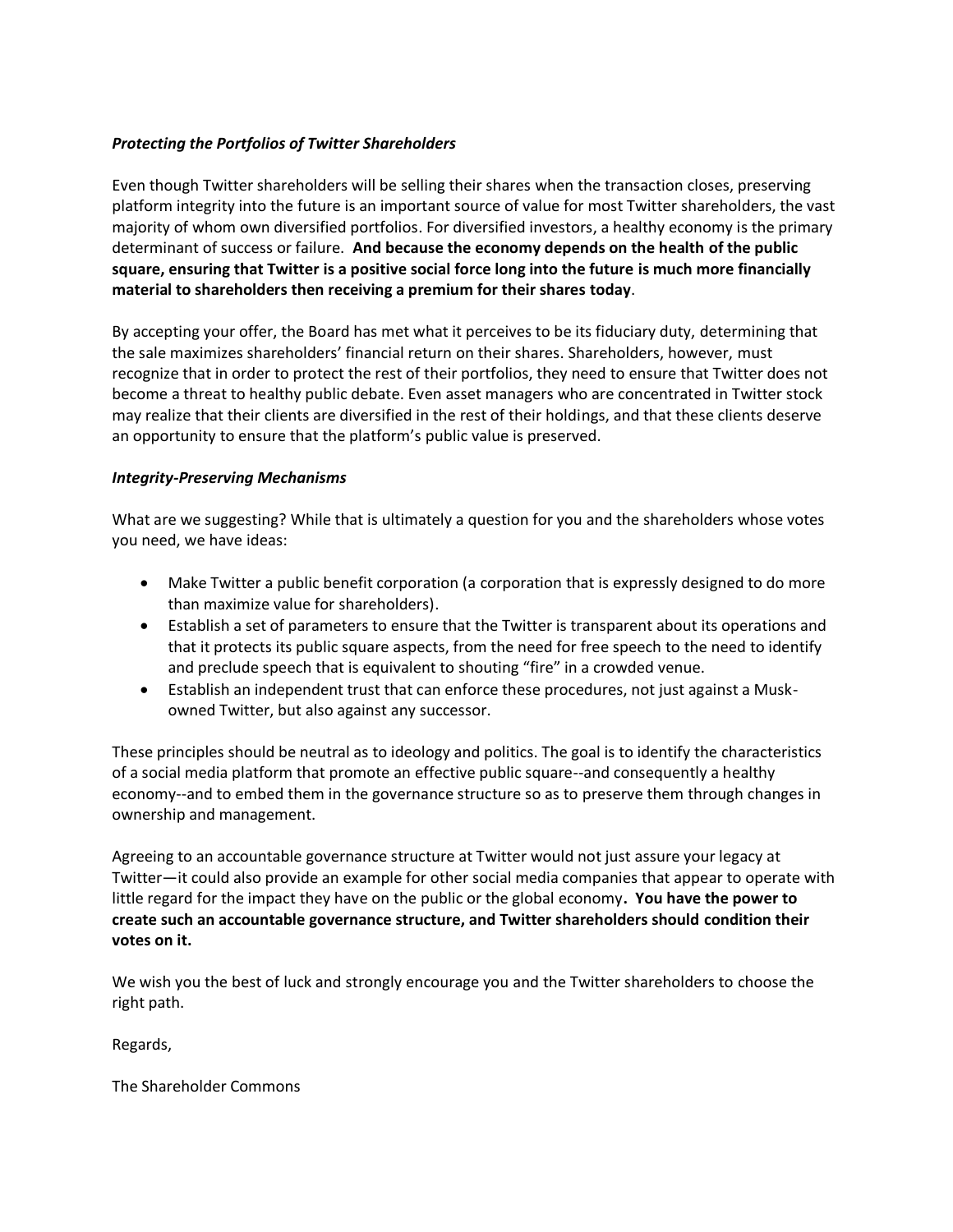## *Protecting the Portfolios of Twitter Shareholders*

Even though Twitter shareholders will be selling their shares when the transaction closes, preserving platform integrity into the future is an important source of value for most Twitter shareholders, the vast majority of whom own diversified portfolios. For diversified investors, a healthy economy is the primary determinant of success or failure. **And because the economy depends on the health of the public square, ensuring that Twitter is a positive social force long into the future is much more financially material to shareholders then receiving a premium for their shares today**.

By accepting your offer, the Board has met what it perceives to be its fiduciary duty, determining that the sale maximizes shareholders' financial return on their shares. Shareholders, however, must recognize that in order to protect the rest of their portfolios, they need to ensure that Twitter does not become a threat to healthy public debate. Even asset managers who are concentrated in Twitter stock may realize that their clients are diversified in the rest of their holdings, and that these clients deserve an opportunity to ensure that the platform's public value is preserved.

## *Integrity-Preserving Mechanisms*

What are we suggesting? While that is ultimately a question for you and the shareholders whose votes you need, we have ideas:

- Make Twitter a public benefit corporation (a corporation that is expressly designed to do more than maximize value for shareholders).
- Establish a set of parameters to ensure that the Twitter is transparent about its operations and that it protects its public square aspects, from the need for free speech to the need to identify and preclude speech that is equivalent to shouting "fire" in a crowded venue.
- Establish an independent trust that can enforce these procedures, not just against a Muskowned Twitter, but also against any successor.

These principles should be neutral as to ideology and politics. The goal is to identify the characteristics of a social media platform that promote an effective public square--and consequently a healthy economy--and to embed them in the governance structure so as to preserve them through changes in ownership and management.

Agreeing to an accountable governance structure at Twitter would not just assure your legacy at Twitter—it could also provide an example for other social media companies that appear to operate with little regard for the impact they have on the public or the global economy**. You have the power to create such an accountable governance structure, and Twitter shareholders should condition their votes on it.** 

We wish you the best of luck and strongly encourage you and the Twitter shareholders to choose the right path.

Regards,

The Shareholder Commons